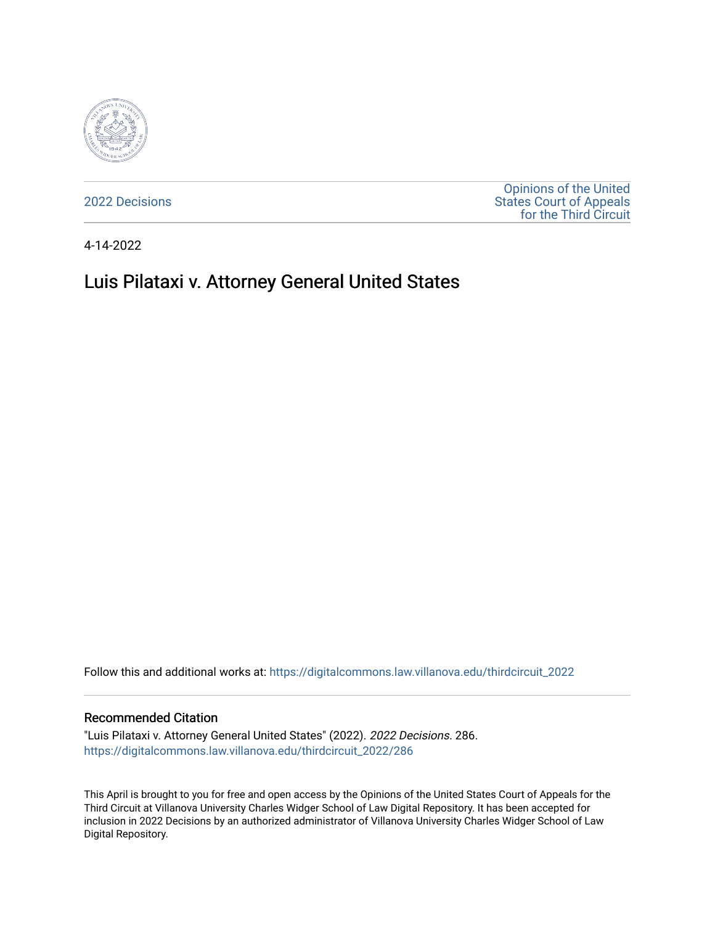

[2022 Decisions](https://digitalcommons.law.villanova.edu/thirdcircuit_2022)

[Opinions of the United](https://digitalcommons.law.villanova.edu/thirdcircuit)  [States Court of Appeals](https://digitalcommons.law.villanova.edu/thirdcircuit)  [for the Third Circuit](https://digitalcommons.law.villanova.edu/thirdcircuit) 

4-14-2022

# Luis Pilataxi v. Attorney General United States

Follow this and additional works at: [https://digitalcommons.law.villanova.edu/thirdcircuit\\_2022](https://digitalcommons.law.villanova.edu/thirdcircuit_2022?utm_source=digitalcommons.law.villanova.edu%2Fthirdcircuit_2022%2F286&utm_medium=PDF&utm_campaign=PDFCoverPages) 

#### Recommended Citation

"Luis Pilataxi v. Attorney General United States" (2022). 2022 Decisions. 286. [https://digitalcommons.law.villanova.edu/thirdcircuit\\_2022/286](https://digitalcommons.law.villanova.edu/thirdcircuit_2022/286?utm_source=digitalcommons.law.villanova.edu%2Fthirdcircuit_2022%2F286&utm_medium=PDF&utm_campaign=PDFCoverPages)

This April is brought to you for free and open access by the Opinions of the United States Court of Appeals for the Third Circuit at Villanova University Charles Widger School of Law Digital Repository. It has been accepted for inclusion in 2022 Decisions by an authorized administrator of Villanova University Charles Widger School of Law Digital Repository.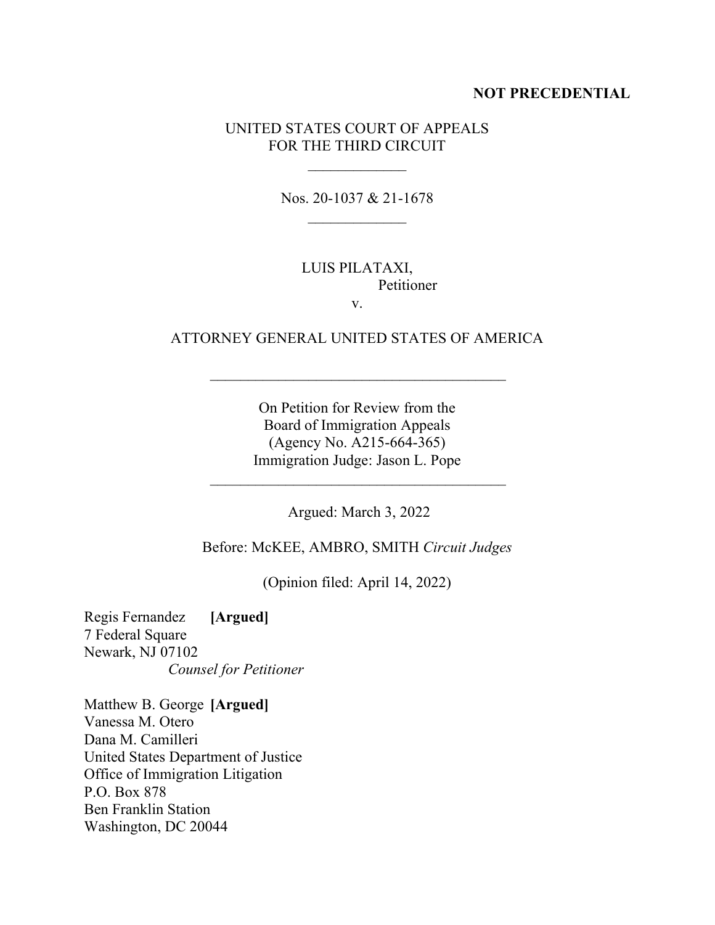#### **NOT PRECEDENTIAL**

# UNITED STATES COURT OF APPEALS FOR THE THIRD CIRCUIT

Nos. 20-1037 & 21-1678

### LUIS PILATAXI, Petitioner v.

# ATTORNEY GENERAL UNITED STATES OF AMERICA

On Petition for Review from the Board of Immigration Appeals (Agency No. A215-664-365) Immigration Judge: Jason L. Pope

Argued: March 3, 2022

Before: McKEE, AMBRO, SMITH *Circuit Judges*

(Opinion filed: April 14, 2022)

Regis Fernandez **[Argued]** 7 Federal Square Newark, NJ 07102 *Counsel for Petitioner*

Matthew B. George **[Argued]** Vanessa M. Otero Dana M. Camilleri United States Department of Justice Office of Immigration Litigation P.O. Box 878 Ben Franklin Station Washington, DC 20044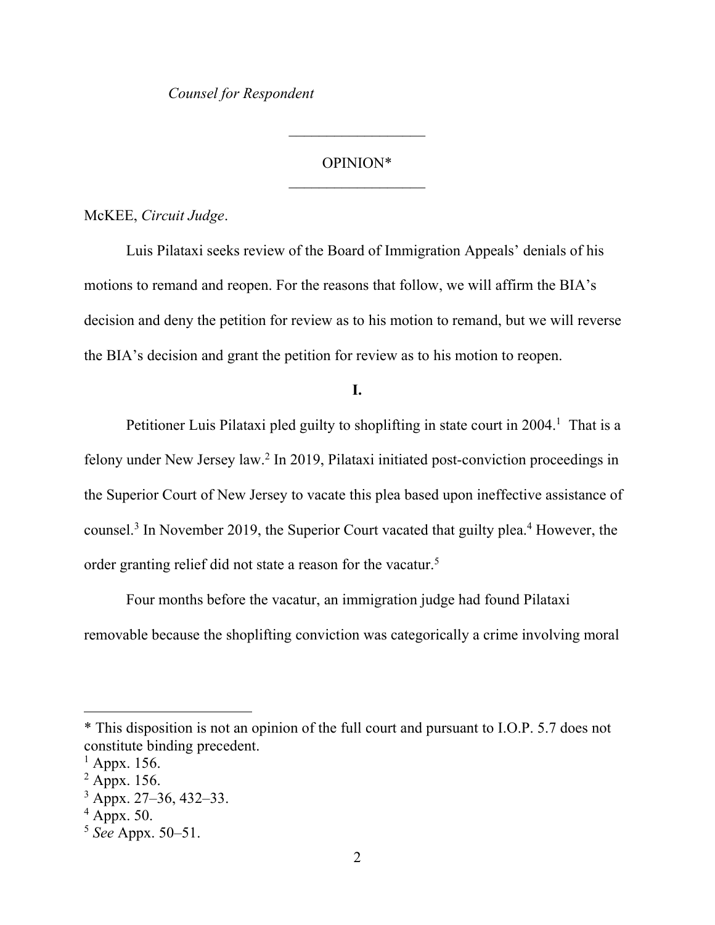*Counsel for Respondent*

#### OPINION\*

 $\frac{1}{2}$ 

McKEE, *Circuit Judge*.

Luis Pilataxi seeks review of the Board of Immigration Appeals' denials of his motions to remand and reopen. For the reasons that follow, we will affirm the BIA's decision and deny the petition for review as to his motion to remand, but we will reverse the BIA's decision and grant the petition for review as to his motion to reopen.

**I.**

Petitioner Luis Pilataxi pled guilty to shoplifting in state court in 2004.<sup>1</sup> That is a felony under New Jersey law. 2 In 2019, Pilataxi initiated post-conviction proceedings in the Superior Court of New Jersey to vacate this plea based upon ineffective assistance of counsel.<sup>3</sup> In November 2019, the Superior Court vacated that guilty plea.<sup>4</sup> However, the order granting relief did not state a reason for the vacatur.<sup>5</sup>

Four months before the vacatur, an immigration judge had found Pilataxi removable because the shoplifting conviction was categorically a crime involving moral

<sup>\*</sup> This disposition is not an opinion of the full court and pursuant to I.O.P. 5.7 does not constitute binding precedent.

 $<sup>1</sup>$  Appx. 156.</sup>

 $2$  Appx. 156.

<sup>3</sup> Appx. 27–36, 432–33.

 $4$  Appx. 50.

<sup>5</sup> *See* Appx. 50–51.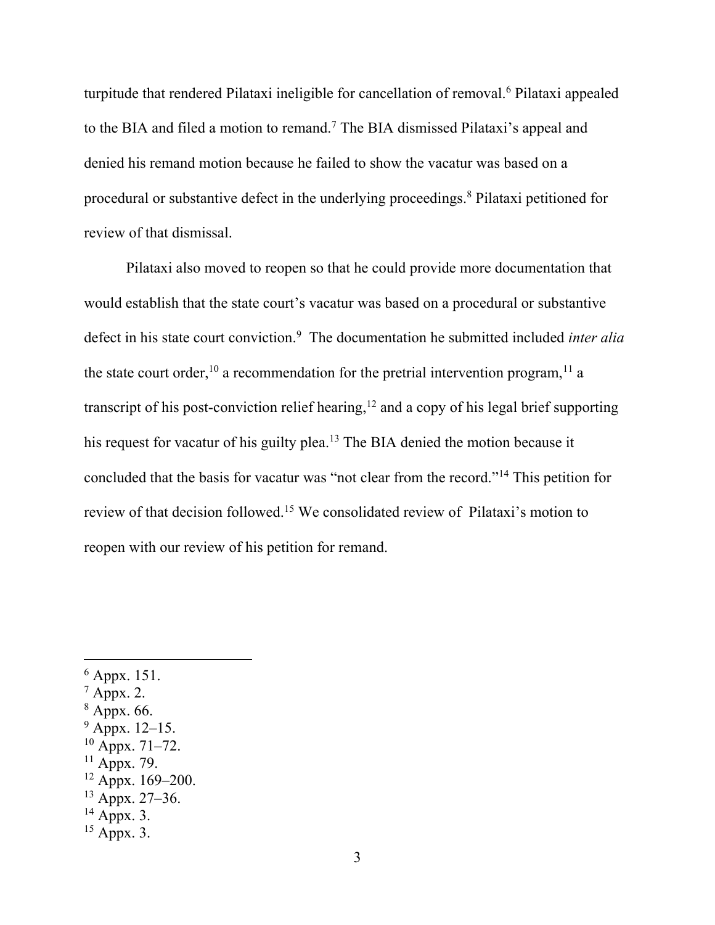turpitude that rendered Pilataxi ineligible for cancellation of removal.<sup>6</sup> Pilataxi appealed to the BIA and filed a motion to remand.<sup>7</sup> The BIA dismissed Pilataxi's appeal and denied his remand motion because he failed to show the vacatur was based on a procedural or substantive defect in the underlying proceedings. <sup>8</sup> Pilataxi petitioned for review of that dismissal.

Pilataxi also moved to reopen so that he could provide more documentation that would establish that the state court's vacatur was based on a procedural or substantive defect in his state court conviction.<sup>9</sup> The documentation he submitted included *inter alia* the state court order,  $^{10}$  a recommendation for the pretrial intervention program,  $^{11}$  a transcript of his post-conviction relief hearing, $12$  and a copy of his legal brief supporting his request for vacatur of his guilty plea.<sup>13</sup> The BIA denied the motion because it concluded that the basis for vacatur was "not clear from the record."<sup>14</sup> This petition for review of that decision followed.<sup>15</sup> We consolidated review of Pilataxi's motion to reopen with our review of his petition for remand.

- $6$  Appx. 151.
- $^7$  Appx. 2.
- <sup>8</sup> Appx. 66.
- $9$  Appx. 12–15.
- $10$  Appx. 71–72.
- $11$  Appx. 79.
- $12$  Appx. 169–200.
- <sup>13</sup> Appx. 27–36.
- $14$  Appx. 3.
- $15$  Appx. 3.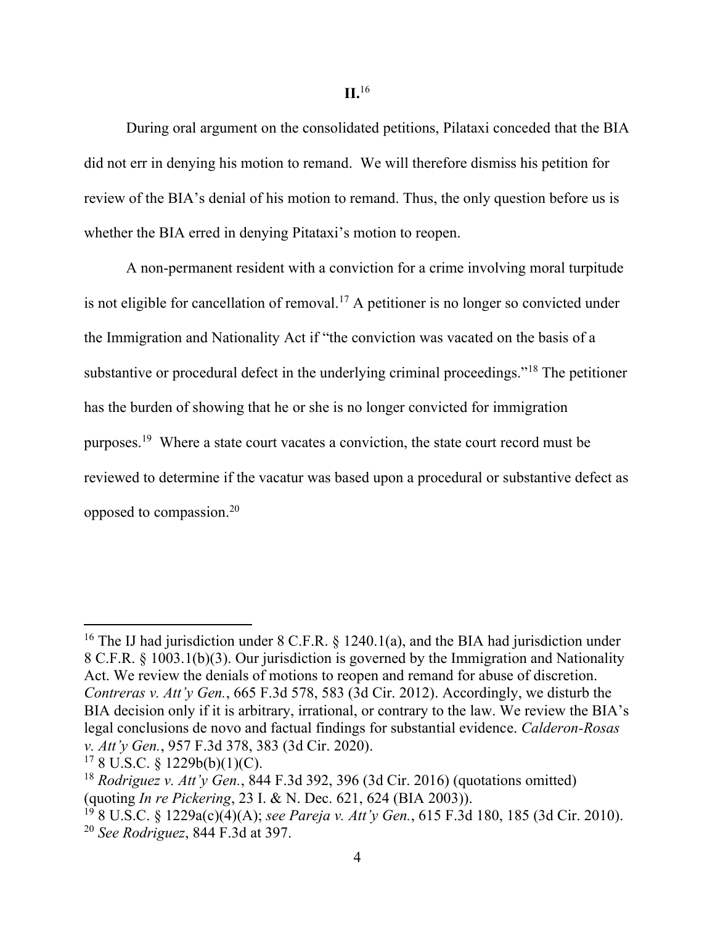**II.**<sup>16</sup>

During oral argument on the consolidated petitions, Pilataxi conceded that the BIA did not err in denying his motion to remand. We will therefore dismiss his petition for review of the BIA's denial of his motion to remand. Thus, the only question before us is whether the BIA erred in denying Pitataxi's motion to reopen.

A non-permanent resident with a conviction for a crime involving moral turpitude is not eligible for cancellation of removal.<sup>17</sup> A petitioner is no longer so convicted under the Immigration and Nationality Act if "the conviction was vacated on the basis of a substantive or procedural defect in the underlying criminal proceedings."<sup>18</sup> The petitioner has the burden of showing that he or she is no longer convicted for immigration purposes.<sup>19</sup> Where a state court vacates a conviction, the state court record must be reviewed to determine if the vacatur was based upon a procedural or substantive defect as opposed to compassion. 20

<sup>&</sup>lt;sup>16</sup> The IJ had jurisdiction under  $8$  C.F.R.  $\S$  1240.1(a), and the BIA had jurisdiction under 8 C.F.R. § 1003.1(b)(3). Our jurisdiction is governed by the Immigration and Nationality Act. We review the denials of motions to reopen and remand for abuse of discretion. *Contreras v. Att'y Gen.*, 665 F.3d 578, 583 (3d Cir. 2012). Accordingly, we disturb the BIA decision only if it is arbitrary, irrational, or contrary to the law. We review the BIA's legal conclusions de novo and factual findings for substantial evidence. *Calderon-Rosas v. Att'y Gen.*, 957 F.3d 378, 383 (3d Cir. 2020).

 $178$  U.S.C. § 1229b(b)(1)(C).

<sup>18</sup> *Rodriguez v. Att'y Gen.*, 844 F.3d 392, 396 (3d Cir. 2016) (quotations omitted) (quoting *In re Pickering*, 23 I. & N. Dec. 621, 624 (BIA 2003)).

<sup>19</sup> 8 U.S.C. § 1229a(c)(4)(A); *see Pareja v. Att'y Gen.*, 615 F.3d 180, 185 (3d Cir. 2010). <sup>20</sup> *See Rodriguez*, 844 F.3d at 397.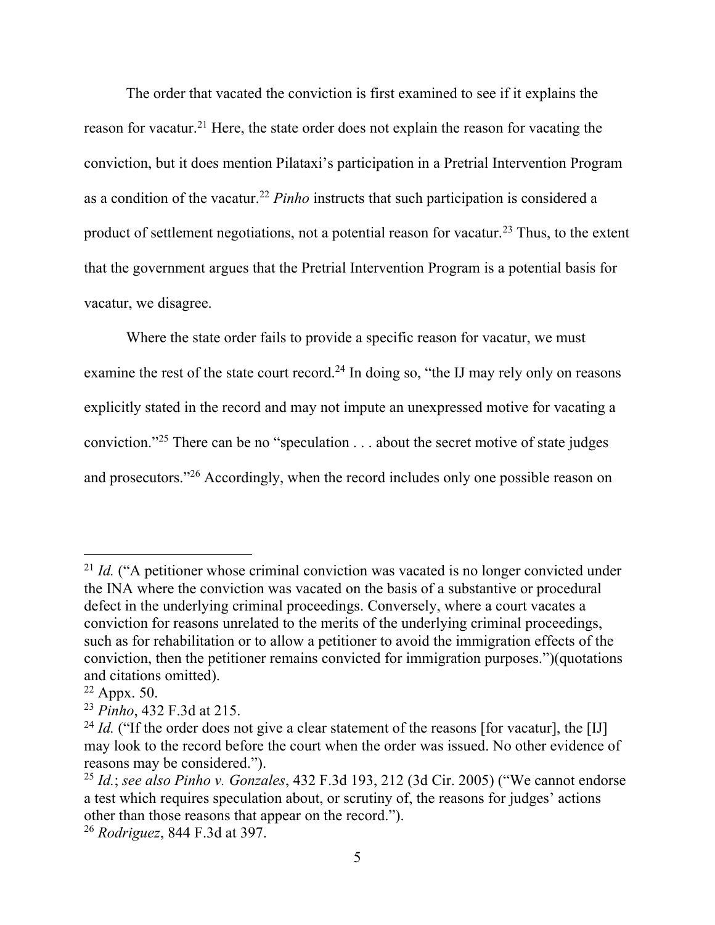The order that vacated the conviction is first examined to see if it explains the reason for vacatur.<sup>21</sup> Here, the state order does not explain the reason for vacating the conviction, but it does mention Pilataxi's participation in a Pretrial Intervention Program as a condition of the vacatur. <sup>22</sup> *Pinho* instructs that such participation is considered a product of settlement negotiations, not a potential reason for vacatur.<sup>23</sup> Thus, to the extent that the government argues that the Pretrial Intervention Program is a potential basis for vacatur, we disagree.

Where the state order fails to provide a specific reason for vacatur, we must examine the rest of the state court record.<sup>24</sup> In doing so, "the IJ may rely only on reasons explicitly stated in the record and may not impute an unexpressed motive for vacating a conviction."<sup>25</sup> There can be no "speculation . . . about the secret motive of state judges and prosecutors."<sup>26</sup> Accordingly, when the record includes only one possible reason on

<sup>&</sup>lt;sup>21</sup> *Id.* ("A petitioner whose criminal conviction was vacated is no longer convicted under the INA where the conviction was vacated on the basis of a substantive or procedural defect in the underlying criminal proceedings. Conversely, where a court vacates a conviction for reasons unrelated to the merits of the underlying criminal proceedings, such as for rehabilitation or to allow a petitioner to avoid the immigration effects of the conviction, then the petitioner remains convicted for immigration purposes.")(quotations and citations omitted).

 $22$  Appx. 50.

<sup>23</sup> *Pinho*, 432 F.3d at 215.

<sup>&</sup>lt;sup>24</sup> *Id.* ("If the order does not give a clear statement of the reasons [for vacatur], the [IJ] may look to the record before the court when the order was issued. No other evidence of reasons may be considered.").

<sup>25</sup> *Id.*; *see also Pinho v. Gonzales*, 432 F.3d 193, 212 (3d Cir. 2005) ("We cannot endorse a test which requires speculation about, or scrutiny of, the reasons for judges' actions other than those reasons that appear on the record.").

<sup>26</sup> *Rodriguez*, 844 F.3d at 397.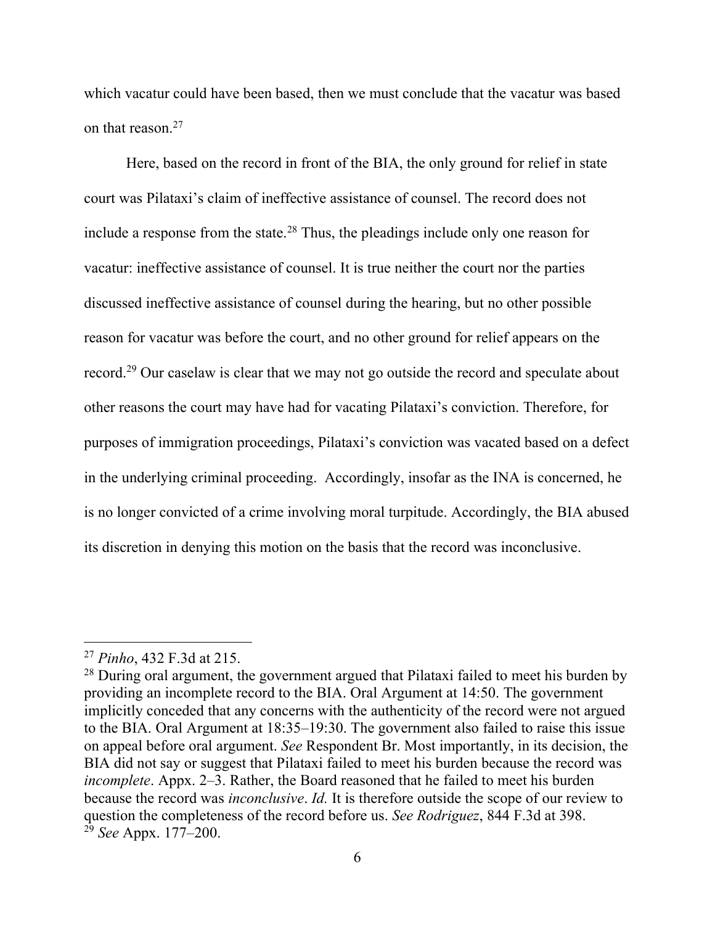which vacatur could have been based, then we must conclude that the vacatur was based on that reason.<sup>27</sup>

Here, based on the record in front of the BIA, the only ground for relief in state court was Pilataxi's claim of ineffective assistance of counsel. The record does not include a response from the state.<sup>28</sup> Thus, the pleadings include only one reason for vacatur: ineffective assistance of counsel. It is true neither the court nor the parties discussed ineffective assistance of counsel during the hearing, but no other possible reason for vacatur was before the court, and no other ground for relief appears on the record.<sup>29</sup> Our caselaw is clear that we may not go outside the record and speculate about other reasons the court may have had for vacating Pilataxi's conviction. Therefore, for purposes of immigration proceedings, Pilataxi's conviction was vacated based on a defect in the underlying criminal proceeding. Accordingly, insofar as the INA is concerned, he is no longer convicted of a crime involving moral turpitude. Accordingly, the BIA abused its discretion in denying this motion on the basis that the record was inconclusive.

<sup>27</sup> *Pinho*, 432 F.3d at 215.

 $28$  During oral argument, the government argued that Pilataxi failed to meet his burden by providing an incomplete record to the BIA. Oral Argument at 14:50. The government implicitly conceded that any concerns with the authenticity of the record were not argued to the BIA. Oral Argument at 18:35–19:30. The government also failed to raise this issue on appeal before oral argument. *See* Respondent Br. Most importantly, in its decision, the BIA did not say or suggest that Pilataxi failed to meet his burden because the record was *incomplete*. Appx. 2–3. Rather, the Board reasoned that he failed to meet his burden because the record was *inconclusive*. *Id.* It is therefore outside the scope of our review to question the completeness of the record before us. *See Rodriguez*, 844 F.3d at 398. <sup>29</sup> *See* Appx. 177–200.